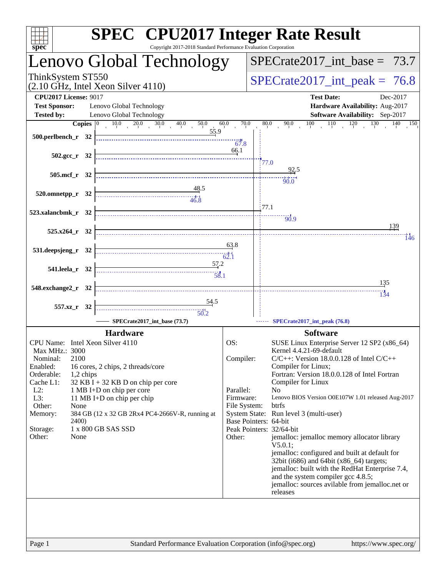| $sp\overline{ec}$                                  | <b>SPEC<sup>®</sup></b> CPU2017 Integer Rate Result<br>Copyright 2017-2018 Standard Performance Evaluation Corporation |                         |                                                                                           |
|----------------------------------------------------|------------------------------------------------------------------------------------------------------------------------|-------------------------|-------------------------------------------------------------------------------------------|
|                                                    | Lenovo Global Technology                                                                                               |                         | $SPECTate2017\_int\_base = 73.7$                                                          |
| ThinkSystem ST550                                  | (2.10 GHz, Intel Xeon Silver 4110)                                                                                     |                         | $SPECTate2017\_int\_peak = 76.8$                                                          |
| <b>CPU2017 License: 9017</b>                       |                                                                                                                        |                         | <b>Test Date:</b><br>Dec-2017                                                             |
| <b>Test Sponsor:</b>                               | Lenovo Global Technology                                                                                               |                         | Hardware Availability: Aug-2017                                                           |
| <b>Tested by:</b>                                  | Lenovo Global Technology                                                                                               |                         | Software Availability: Sep-2017                                                           |
| $500.$ perlbench_r 32                              | <b>Copies</b> $\begin{bmatrix} 0 & 10.0 & 20.0 & 30.0 & 40.0 \end{bmatrix}$<br>50.0<br>55.9                            | 70.0<br>60.0<br>$-67.8$ | $90.0$ $100$ $110$ $120$ $130$ $140$ $150$<br>80.0                                        |
| $502.\text{sec}$ $r$ 32                            |                                                                                                                        | 66.1                    | 77.0                                                                                      |
| $505.\text{mcf}_r$ 32                              |                                                                                                                        |                         |                                                                                           |
|                                                    |                                                                                                                        |                         | 90.0                                                                                      |
| $520.0$ mnetpp_r $32$                              | $\begin{array}{c c}\n & 48.5 \\ & 48.5 \\ & 46.8\n\end{array}$                                                         |                         |                                                                                           |
|                                                    |                                                                                                                        |                         | 77.1                                                                                      |
| 523.xalancbmk_r 32                                 |                                                                                                                        |                         | $-90.9$                                                                                   |
|                                                    |                                                                                                                        |                         | 139                                                                                       |
| $525.x264_r$ 32                                    |                                                                                                                        |                         | 146                                                                                       |
| 531.deepsjeng_r 32                                 | $\overline{63.8}$                                                                                                      |                         |                                                                                           |
| 541.leela_r 32                                     | $\frac{57.2}{58.1}$                                                                                                    |                         |                                                                                           |
|                                                    |                                                                                                                        |                         |                                                                                           |
| 548.exchange2_r 32                                 |                                                                                                                        |                         | <u>135</u>                                                                                |
|                                                    |                                                                                                                        |                         |                                                                                           |
| 557.xz_r 32                                        | $\begin{array}{c c}\n & 54.5 \\ \hline\n & 50.2\n\end{array}$                                                          |                         |                                                                                           |
|                                                    | SPECrate2017 int base (73.7)                                                                                           |                         | SPECrate2017_int_peak (76.8)                                                              |
|                                                    |                                                                                                                        |                         |                                                                                           |
|                                                    | <b>Hardware</b>                                                                                                        |                         | <b>Software</b>                                                                           |
| CPU Name: Intel Xeon Silver 4110<br>Max MHz.: 3000 |                                                                                                                        | OS:                     | SUSE Linux Enterprise Server 12 SP2 (x86_64)<br>Kernel 4.4.21-69-default                  |
| 2100<br>Nominal:                                   |                                                                                                                        | Compiler:               | $C/C++$ : Version 18.0.0.128 of Intel $C/C++$                                             |
| Enabled:                                           | 16 cores, 2 chips, 2 threads/core                                                                                      |                         | Compiler for Linux;                                                                       |
| Orderable:<br>1,2 chips                            |                                                                                                                        |                         | Fortran: Version 18.0.0.128 of Intel Fortran                                              |
| Cache L1:<br>$L2$ :                                | 32 KB I + 32 KB D on chip per core<br>1 MB I+D on chip per core                                                        | Parallel:               | Compiler for Linux<br>N <sub>0</sub>                                                      |
| L3:                                                | 11 MB I+D on chip per chip                                                                                             | Firmware:               | Lenovo BIOS Version O0E107W 1.01 released Aug-2017                                        |
| Other:<br>None                                     |                                                                                                                        | File System:            | btrfs                                                                                     |
| Memory:<br><b>2400</b> )                           | 384 GB (12 x 32 GB 2Rx4 PC4-2666V-R, running at                                                                        |                         | System State: Run level 3 (multi-user)<br>Base Pointers: 64-bit                           |
| Storage:                                           | 1 x 800 GB SAS SSD                                                                                                     |                         | Peak Pointers: 32/64-bit                                                                  |
| Other:<br>None                                     |                                                                                                                        | Other:                  | jemalloc: jemalloc memory allocator library                                               |
|                                                    |                                                                                                                        |                         | $V5.0.1$ :                                                                                |
|                                                    |                                                                                                                        |                         | jemalloc: configured and built at default for<br>32bit (i686) and 64bit (x86_64) targets; |
|                                                    |                                                                                                                        |                         | jemalloc: built with the RedHat Enterprise 7.4,                                           |
|                                                    |                                                                                                                        |                         | and the system compiler gcc 4.8.5;                                                        |
|                                                    |                                                                                                                        |                         | jemalloc: sources avilable from jemalloc.net or<br>releases                               |
|                                                    |                                                                                                                        |                         |                                                                                           |
|                                                    |                                                                                                                        |                         |                                                                                           |
|                                                    |                                                                                                                        |                         |                                                                                           |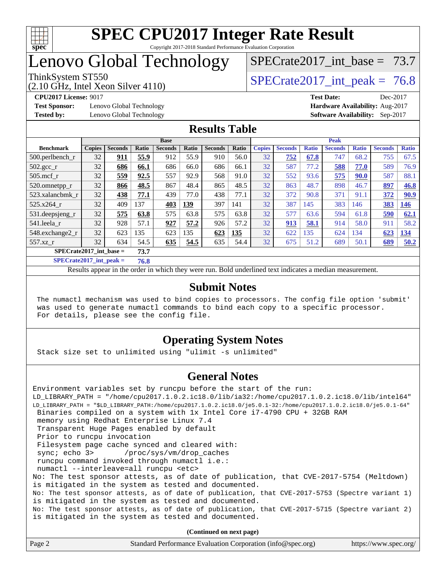

## Lenovo Global Technology

## SPECrate2017 int\_base =  $73.7$

(2.10 GHz, Intel Xeon Silver 4110)

ThinkSystem ST550  $SPECrate2017$  int peak = 76.8

**[Test Sponsor:](http://www.spec.org/auto/cpu2017/Docs/result-fields.html#TestSponsor)** Lenovo Global Technology **[Hardware Availability:](http://www.spec.org/auto/cpu2017/Docs/result-fields.html#HardwareAvailability)** Aug-2017 **[Tested by:](http://www.spec.org/auto/cpu2017/Docs/result-fields.html#Testedby)** Lenovo Global Technology **[Software Availability:](http://www.spec.org/auto/cpu2017/Docs/result-fields.html#SoftwareAvailability)** Sep-2017

**[CPU2017 License:](http://www.spec.org/auto/cpu2017/Docs/result-fields.html#CPU2017License)** 9017 **[Test Date:](http://www.spec.org/auto/cpu2017/Docs/result-fields.html#TestDate)** Dec-2017

#### **[Results Table](http://www.spec.org/auto/cpu2017/Docs/result-fields.html#ResultsTable)**

|                         | <b>Base</b>   |                |       |                | <b>Peak</b>  |                |              |               |                |              |                |              |                |              |
|-------------------------|---------------|----------------|-------|----------------|--------------|----------------|--------------|---------------|----------------|--------------|----------------|--------------|----------------|--------------|
| <b>Benchmark</b>        | <b>Copies</b> | <b>Seconds</b> | Ratio | <b>Seconds</b> | <b>Ratio</b> | <b>Seconds</b> | <b>Ratio</b> | <b>Copies</b> | <b>Seconds</b> | <b>Ratio</b> | <b>Seconds</b> | <b>Ratio</b> | <b>Seconds</b> | <b>Ratio</b> |
| $500.$ perlbench_r      | 32            | 911            | 55.9  | 912            | 55.9         | 910            | 56.0         | 32            | 752            | 67.8         | 747            | 68.2         | 755            | 67.5         |
| $502.\text{gcc}$        | 32            | 686            | 66.1  | 686            | 66.0         | 686            | 66.1         | 32            | 587            | 77.2         | 588            | 77.0         | 589            | 76.9         |
| $505$ .mcf r            | 32            | 559            | 92.5  | 557            | 92.9         | 568            | 91.0         | 32            | 552            | 93.6         | 575            | <b>90.0</b>  | 587            | 88.1         |
| $520.0$ mnetpp_r        | 32            | 866            | 48.5  | 867            | 48.4         | 865            | 48.5         | 32            | 863            | 48.7         | 898            | 46.7         | 897            | 46.8         |
| 523.xalancbmk r         | 32            | 438            | 77.1  | 439            | 77.0         | 438            | 77.1         | 32            | 372            | 90.8         | 371            | 91.1         | 372            | 90.9         |
| 525.x264 r              | 32            | 409            | 137   | 403            | 139          | 397            | 141          | 32            | 387            | 145          | 383            | 146          | 383            | 146          |
| 531.deepsjeng_r         | 32            | 575            | 63.8  | 575            | 63.8         | 575            | 63.8         | 32            | 577            | 63.6         | 594            | 61.8         | 590            | 62.1         |
| 541.leela r             | 32            | 928            | 57.1  | 927            | 57.2         | 926            | 57.2         | 32            | <u>913</u>     | 58.1         | 914            | 58.0         | 911            | 58.2         |
| 548.exchange2_r         | 32            | 623            | 135   | 623            | 135          | 623            | 135          | 32            | 622            | 135          | 624            | 134          | 623            | 134          |
| $557.xz$ r              | 32            | 634            | 54.5  | 635            | 54.5         | 635            | 54.4         | 32            | 675            | 51.2         | 689            | 50.1         | 689            | 50.2         |
| SPECrate2017_int_base = |               |                | 73.7  |                |              |                |              |               |                |              |                |              |                |              |

**[SPECrate2017\\_int\\_peak =](http://www.spec.org/auto/cpu2017/Docs/result-fields.html#SPECrate2017intpeak) 76.8**

Results appear in the [order in which they were run.](http://www.spec.org/auto/cpu2017/Docs/result-fields.html#RunOrder) Bold underlined text [indicates a median measurement.](http://www.spec.org/auto/cpu2017/Docs/result-fields.html#Median)

#### **[Submit Notes](http://www.spec.org/auto/cpu2017/Docs/result-fields.html#SubmitNotes)**

 The numactl mechanism was used to bind copies to processors. The config file option 'submit' was used to generate numactl commands to bind each copy to a specific processor. For details, please see the config file.

### **[Operating System Notes](http://www.spec.org/auto/cpu2017/Docs/result-fields.html#OperatingSystemNotes)**

Stack size set to unlimited using "ulimit -s unlimited"

#### **[General Notes](http://www.spec.org/auto/cpu2017/Docs/result-fields.html#GeneralNotes)**

Environment variables set by runcpu before the start of the run: LD\_LIBRARY\_PATH = "/home/cpu2017.1.0.2.ic18.0/lib/ia32:/home/cpu2017.1.0.2.ic18.0/lib/intel64" LD\_LIBRARY\_PATH = "\$LD\_LIBRARY\_PATH:/home/cpu2017.1.0.2.ic18.0/je5.0.1-32:/home/cpu2017.1.0.2.ic18.0/je5.0.1-64" Binaries compiled on a system with 1x Intel Core i7-4790 CPU + 32GB RAM memory using Redhat Enterprise Linux 7.4 Transparent Huge Pages enabled by default Prior to runcpu invocation Filesystem page cache synced and cleared with: sync; echo 3> /proc/sys/vm/drop\_caches runcpu command invoked through numactl i.e.: numactl --interleave=all runcpu <etc> No: The test sponsor attests, as of date of publication, that CVE-2017-5754 (Meltdown) is mitigated in the system as tested and documented. No: The test sponsor attests, as of date of publication, that CVE-2017-5753 (Spectre variant 1) is mitigated in the system as tested and documented. No: The test sponsor attests, as of date of publication, that CVE-2017-5715 (Spectre variant 2) is mitigated in the system as tested and documented.

**(Continued on next page)**

| Page 2 | Standard Performance Evaluation Corporation (info@spec.org) | https://www.spec.org/ |
|--------|-------------------------------------------------------------|-----------------------|
|--------|-------------------------------------------------------------|-----------------------|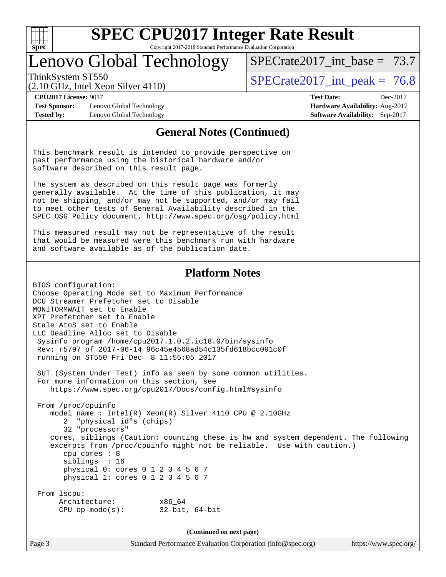

Copyright 2017-2018 Standard Performance Evaluation Corporation

### Lenovo Global Technology

SPECrate2017 int\_base =  $73.7$ 

(2.10 GHz, Intel Xeon Silver 4110)

ThinkSystem ST550  $SPECrate2017$  int peak = 76.8

**[Test Sponsor:](http://www.spec.org/auto/cpu2017/Docs/result-fields.html#TestSponsor)** Lenovo Global Technology **[Hardware Availability:](http://www.spec.org/auto/cpu2017/Docs/result-fields.html#HardwareAvailability)** Aug-2017 **[Tested by:](http://www.spec.org/auto/cpu2017/Docs/result-fields.html#Testedby)** Lenovo Global Technology **[Software Availability:](http://www.spec.org/auto/cpu2017/Docs/result-fields.html#SoftwareAvailability)** Sep-2017

**[CPU2017 License:](http://www.spec.org/auto/cpu2017/Docs/result-fields.html#CPU2017License)** 9017 **[Test Date:](http://www.spec.org/auto/cpu2017/Docs/result-fields.html#TestDate)** Dec-2017

#### **[General Notes \(Continued\)](http://www.spec.org/auto/cpu2017/Docs/result-fields.html#GeneralNotes)**

This benchmark result is intended to provide perspective on past performance using the historical hardware and/or software described on this result page.

The system as described on this result page was formerly generally available. At the time of this publication, it may not be shipping, and/or may not be supported, and/or may fail to meet other tests of General Availability described in the SPEC OSG Policy document, <http://www.spec.org/osg/policy.html>

This measured result may not be representative of the result that would be measured were this benchmark run with hardware and software available as of the publication date.

#### **[Platform Notes](http://www.spec.org/auto/cpu2017/Docs/result-fields.html#PlatformNotes)**

BIOS configuration: Choose Operating Mode set to Maximum Performance DCU Streamer Prefetcher set to Disable MONITORMWAIT set to Enable XPT Prefetcher set to Enable Stale AtoS set to Enable LLC Deadline Alloc set to Disable Sysinfo program /home/cpu2017.1.0.2.ic18.0/bin/sysinfo Rev: r5797 of 2017-06-14 96c45e4568ad54c135fd618bcc091c0f running on ST550 Fri Dec 8 11:55:05 2017

 SUT (System Under Test) info as seen by some common utilities. For more information on this section, see <https://www.spec.org/cpu2017/Docs/config.html#sysinfo>

 From /proc/cpuinfo model name : Intel(R) Xeon(R) Silver 4110 CPU @ 2.10GHz 2 "physical id"s (chips) 32 "processors" cores, siblings (Caution: counting these is hw and system dependent. The following excerpts from /proc/cpuinfo might not be reliable. Use with caution.) cpu cores : 8 siblings : 16 physical 0: cores 0 1 2 3 4 5 6 7 physical 1: cores 0 1 2 3 4 5 6 7 From lscpu: Architecture: x86\_64 CPU op-mode(s): 32-bit, 64-bit

**(Continued on next page)**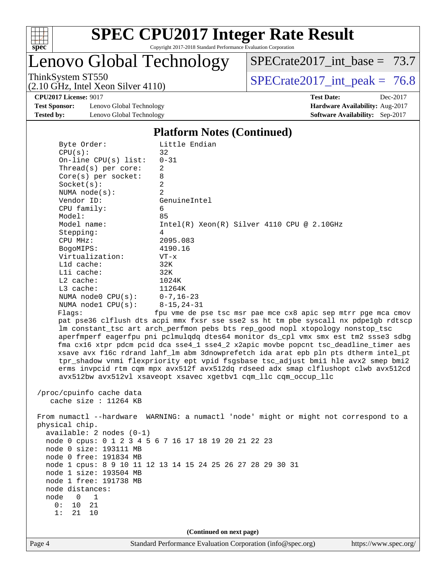

Lenovo Global Technology

[SPECrate2017\\_int\\_base =](http://www.spec.org/auto/cpu2017/Docs/result-fields.html#SPECrate2017intbase) 73.7

(2.10 GHz, Intel Xeon Silver 4110)

ThinkSystem ST550<br>  $(2.10 \text{ GHz. Intel Year } 4110)$  [SPECrate2017\\_int\\_peak =](http://www.spec.org/auto/cpu2017/Docs/result-fields.html#SPECrate2017intpeak) 76.8

**[Test Sponsor:](http://www.spec.org/auto/cpu2017/Docs/result-fields.html#TestSponsor)** Lenovo Global Technology **[Hardware Availability:](http://www.spec.org/auto/cpu2017/Docs/result-fields.html#HardwareAvailability)** Aug-2017 **[Tested by:](http://www.spec.org/auto/cpu2017/Docs/result-fields.html#Testedby)** Lenovo Global Technology **[Software Availability:](http://www.spec.org/auto/cpu2017/Docs/result-fields.html#SoftwareAvailability)** Sep-2017

**[CPU2017 License:](http://www.spec.org/auto/cpu2017/Docs/result-fields.html#CPU2017License)** 9017 **[Test Date:](http://www.spec.org/auto/cpu2017/Docs/result-fields.html#TestDate)** Dec-2017

#### **[Platform Notes \(Continued\)](http://www.spec.org/auto/cpu2017/Docs/result-fields.html#PlatformNotes)**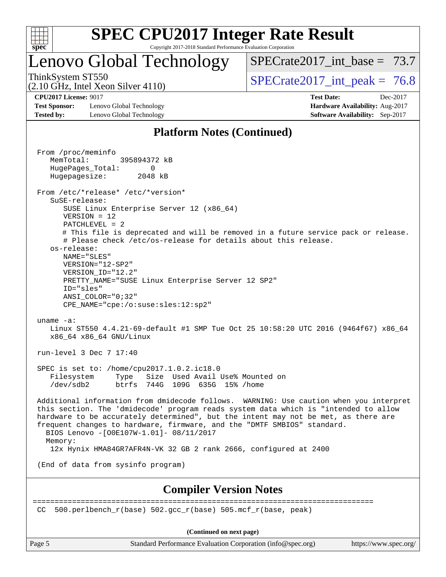

### Lenovo Global Technology

[SPECrate2017\\_int\\_base =](http://www.spec.org/auto/cpu2017/Docs/result-fields.html#SPECrate2017intbase) 73.7

(2.10 GHz, Intel Xeon Silver 4110)

ThinkSystem ST550  $SPECrate2017$  int peak = 76.8

**[CPU2017 License:](http://www.spec.org/auto/cpu2017/Docs/result-fields.html#CPU2017License)** 9017 **[Test Date:](http://www.spec.org/auto/cpu2017/Docs/result-fields.html#TestDate)** Dec-2017

**[Test Sponsor:](http://www.spec.org/auto/cpu2017/Docs/result-fields.html#TestSponsor)** Lenovo Global Technology **[Hardware Availability:](http://www.spec.org/auto/cpu2017/Docs/result-fields.html#HardwareAvailability)** Aug-2017 **[Tested by:](http://www.spec.org/auto/cpu2017/Docs/result-fields.html#Testedby)** Lenovo Global Technology **[Software Availability:](http://www.spec.org/auto/cpu2017/Docs/result-fields.html#SoftwareAvailability)** Sep-2017

### **[Platform Notes \(Continued\)](http://www.spec.org/auto/cpu2017/Docs/result-fields.html#PlatformNotes)**

 From /proc/meminfo MemTotal: 395894372 kB HugePages\_Total: 0 Hugepagesize: 2048 kB From /etc/\*release\* /etc/\*version\* SuSE-release: SUSE Linux Enterprise Server 12 (x86\_64) VERSION = 12 PATCHLEVEL = 2 # This file is deprecated and will be removed in a future service pack or release. # Please check /etc/os-release for details about this release. os-release: NAME="SLES" VERSION="12-SP2" VERSION\_ID="12.2" PRETTY\_NAME="SUSE Linux Enterprise Server 12 SP2" ID="sles" ANSI\_COLOR="0;32" CPE\_NAME="cpe:/o:suse:sles:12:sp2" uname -a: Linux ST550 4.4.21-69-default #1 SMP Tue Oct 25 10:58:20 UTC 2016 (9464f67) x86\_64 x86\_64 x86\_64 GNU/Linux run-level 3 Dec 7 17:40 SPEC is set to: /home/cpu2017.1.0.2.ic18.0 Filesystem Type Size Used Avail Use% Mounted on /dev/sdb2 btrfs 744G 109G 635G 15% /home Additional information from dmidecode follows. WARNING: Use caution when you interpret this section. The 'dmidecode' program reads system data which is "intended to allow hardware to be accurately determined", but the intent may not be met, as there are frequent changes to hardware, firmware, and the "DMTF SMBIOS" standard. BIOS Lenovo -[O0E107W-1.01]- 08/11/2017 Memory: 12x Hynix HMA84GR7AFR4N-VK 32 GB 2 rank 2666, configured at 2400 (End of data from sysinfo program) **[Compiler Version Notes](http://www.spec.org/auto/cpu2017/Docs/result-fields.html#CompilerVersionNotes)** ==============================================================================

CC 500.perlbench  $r(base)$  502.gcc  $r(base)$  505.mcf  $r(base, peak)$ 

**(Continued on next page)**

Page 5 Standard Performance Evaluation Corporation [\(info@spec.org\)](mailto:info@spec.org) <https://www.spec.org/>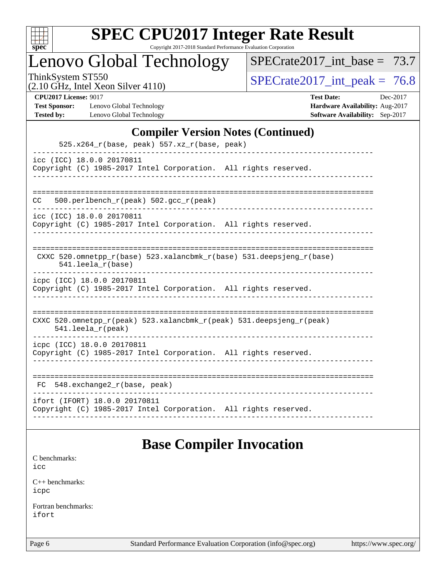

Copyright 2017-2018 Standard Performance Evaluation Corporation

### Lenovo Global Technology

[SPECrate2017\\_int\\_base =](http://www.spec.org/auto/cpu2017/Docs/result-fields.html#SPECrate2017intbase) 73.7

(2.10 GHz, Intel Xeon Silver 4110)

ThinkSystem ST550<br>  $(2.10 \text{ GHz. Intel } \text{Yeon Silver } (4110))$   $\text{SPECrate}$   $2017\_int\_peak = 76.8$ 

**[Test Sponsor:](http://www.spec.org/auto/cpu2017/Docs/result-fields.html#TestSponsor)** Lenovo Global Technology **[Hardware Availability:](http://www.spec.org/auto/cpu2017/Docs/result-fields.html#HardwareAvailability)** Aug-2017 **[Tested by:](http://www.spec.org/auto/cpu2017/Docs/result-fields.html#Testedby)** Lenovo Global Technology **[Software Availability:](http://www.spec.org/auto/cpu2017/Docs/result-fields.html#SoftwareAvailability)** Sep-2017

**[CPU2017 License:](http://www.spec.org/auto/cpu2017/Docs/result-fields.html#CPU2017License)** 9017 **[Test Date:](http://www.spec.org/auto/cpu2017/Docs/result-fields.html#TestDate)** Dec-2017

#### **[Compiler Version Notes \(Continued\)](http://www.spec.org/auto/cpu2017/Docs/result-fields.html#CompilerVersionNotes)**

| $525.x264_r(base, peak) 557.xz_r(base, peak)$                                                                              |
|----------------------------------------------------------------------------------------------------------------------------|
| icc (ICC) 18.0.0 20170811<br>Copyright (C) 1985-2017 Intel Corporation. All rights reserved.                               |
| 500.perlbench_r(peak) 502.gcc_r(peak)<br>CC.                                                                               |
| icc (ICC) 18.0.0 20170811<br>Copyright (C) 1985-2017 Intel Corporation. All rights reserved.                               |
| CXXC 520.omnetpp_r(base) 523.xalancbmk_r(base) 531.deepsjeng_r(base)<br>$541.$ leela $r(base)$                             |
| icpc (ICC) 18.0.0 20170811<br>Copyright (C) 1985-2017 Intel Corporation. All rights reserved.                              |
| CXXC 520.omnetpp $r(\text{peak})$ 523.xalancbmk $r(\text{peak})$ 531.deepsjeng $r(\text{peak})$<br>$541.$ leela $r$ (peak) |
| icpc (ICC) 18.0.0 20170811<br>Copyright (C) 1985-2017 Intel Corporation. All rights reserved.                              |
| $548$ . exchange2 $r(base, peak)$<br>FC                                                                                    |
| ifort (IFORT) 18.0.0 20170811<br>Copyright (C) 1985-2017 Intel Corporation. All rights reserved.                           |

### **[Base Compiler Invocation](http://www.spec.org/auto/cpu2017/Docs/result-fields.html#BaseCompilerInvocation)**

[C benchmarks](http://www.spec.org/auto/cpu2017/Docs/result-fields.html#Cbenchmarks): [icc](http://www.spec.org/cpu2017/results/res2018q1/cpu2017-20180108-02541.flags.html#user_CCbase_intel_icc_18.0_66fc1ee009f7361af1fbd72ca7dcefbb700085f36577c54f309893dd4ec40d12360134090235512931783d35fd58c0460139e722d5067c5574d8eaf2b3e37e92)

[C++ benchmarks:](http://www.spec.org/auto/cpu2017/Docs/result-fields.html#CXXbenchmarks) [icpc](http://www.spec.org/cpu2017/results/res2018q1/cpu2017-20180108-02541.flags.html#user_CXXbase_intel_icpc_18.0_c510b6838c7f56d33e37e94d029a35b4a7bccf4766a728ee175e80a419847e808290a9b78be685c44ab727ea267ec2f070ec5dc83b407c0218cded6866a35d07)

[Fortran benchmarks](http://www.spec.org/auto/cpu2017/Docs/result-fields.html#Fortranbenchmarks): [ifort](http://www.spec.org/cpu2017/results/res2018q1/cpu2017-20180108-02541.flags.html#user_FCbase_intel_ifort_18.0_8111460550e3ca792625aed983ce982f94888b8b503583aa7ba2b8303487b4d8a21a13e7191a45c5fd58ff318f48f9492884d4413fa793fd88dd292cad7027ca)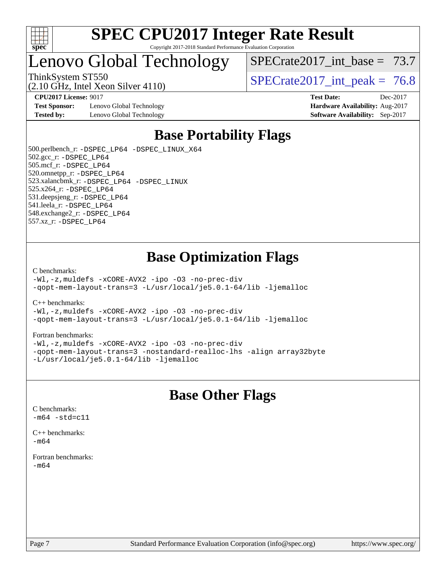

### Lenovo Global Technology

SPECrate2017 int\_base =  $73.7$ 

(2.10 GHz, Intel Xeon Silver 4110)

ThinkSystem ST550  $SPECrate2017$  int peak = 76.8

**[CPU2017 License:](http://www.spec.org/auto/cpu2017/Docs/result-fields.html#CPU2017License)** 9017 **[Test Date:](http://www.spec.org/auto/cpu2017/Docs/result-fields.html#TestDate)** Dec-2017

**[Test Sponsor:](http://www.spec.org/auto/cpu2017/Docs/result-fields.html#TestSponsor)** Lenovo Global Technology **[Hardware Availability:](http://www.spec.org/auto/cpu2017/Docs/result-fields.html#HardwareAvailability)** Aug-2017 **[Tested by:](http://www.spec.org/auto/cpu2017/Docs/result-fields.html#Testedby)** Lenovo Global Technology **[Software Availability:](http://www.spec.org/auto/cpu2017/Docs/result-fields.html#SoftwareAvailability)** Sep-2017

### **[Base Portability Flags](http://www.spec.org/auto/cpu2017/Docs/result-fields.html#BasePortabilityFlags)**

 500.perlbench\_r: [-DSPEC\\_LP64](http://www.spec.org/cpu2017/results/res2018q1/cpu2017-20180108-02541.flags.html#b500.perlbench_r_basePORTABILITY_DSPEC_LP64) [-DSPEC\\_LINUX\\_X64](http://www.spec.org/cpu2017/results/res2018q1/cpu2017-20180108-02541.flags.html#b500.perlbench_r_baseCPORTABILITY_DSPEC_LINUX_X64) 502.gcc\_r: [-DSPEC\\_LP64](http://www.spec.org/cpu2017/results/res2018q1/cpu2017-20180108-02541.flags.html#suite_basePORTABILITY502_gcc_r_DSPEC_LP64) 505.mcf\_r: [-DSPEC\\_LP64](http://www.spec.org/cpu2017/results/res2018q1/cpu2017-20180108-02541.flags.html#suite_basePORTABILITY505_mcf_r_DSPEC_LP64) 520.omnetpp\_r: [-DSPEC\\_LP64](http://www.spec.org/cpu2017/results/res2018q1/cpu2017-20180108-02541.flags.html#suite_basePORTABILITY520_omnetpp_r_DSPEC_LP64) 523.xalancbmk\_r: [-DSPEC\\_LP64](http://www.spec.org/cpu2017/results/res2018q1/cpu2017-20180108-02541.flags.html#suite_basePORTABILITY523_xalancbmk_r_DSPEC_LP64) [-DSPEC\\_LINUX](http://www.spec.org/cpu2017/results/res2018q1/cpu2017-20180108-02541.flags.html#b523.xalancbmk_r_baseCXXPORTABILITY_DSPEC_LINUX) 525.x264\_r: [-DSPEC\\_LP64](http://www.spec.org/cpu2017/results/res2018q1/cpu2017-20180108-02541.flags.html#suite_basePORTABILITY525_x264_r_DSPEC_LP64) 531.deepsjeng\_r: [-DSPEC\\_LP64](http://www.spec.org/cpu2017/results/res2018q1/cpu2017-20180108-02541.flags.html#suite_basePORTABILITY531_deepsjeng_r_DSPEC_LP64) 541.leela\_r: [-DSPEC\\_LP64](http://www.spec.org/cpu2017/results/res2018q1/cpu2017-20180108-02541.flags.html#suite_basePORTABILITY541_leela_r_DSPEC_LP64) 548.exchange2\_r: [-DSPEC\\_LP64](http://www.spec.org/cpu2017/results/res2018q1/cpu2017-20180108-02541.flags.html#suite_basePORTABILITY548_exchange2_r_DSPEC_LP64) 557.xz\_r: [-DSPEC\\_LP64](http://www.spec.org/cpu2017/results/res2018q1/cpu2017-20180108-02541.flags.html#suite_basePORTABILITY557_xz_r_DSPEC_LP64)

### **[Base Optimization Flags](http://www.spec.org/auto/cpu2017/Docs/result-fields.html#BaseOptimizationFlags)**

[C benchmarks](http://www.spec.org/auto/cpu2017/Docs/result-fields.html#Cbenchmarks):

[-Wl,-z,muldefs](http://www.spec.org/cpu2017/results/res2018q1/cpu2017-20180108-02541.flags.html#user_CCbase_link_force_multiple1_b4cbdb97b34bdee9ceefcfe54f4c8ea74255f0b02a4b23e853cdb0e18eb4525ac79b5a88067c842dd0ee6996c24547a27a4b99331201badda8798ef8a743f577) [-xCORE-AVX2](http://www.spec.org/cpu2017/results/res2018q1/cpu2017-20180108-02541.flags.html#user_CCbase_f-xCORE-AVX2) [-ipo](http://www.spec.org/cpu2017/results/res2018q1/cpu2017-20180108-02541.flags.html#user_CCbase_f-ipo) [-O3](http://www.spec.org/cpu2017/results/res2018q1/cpu2017-20180108-02541.flags.html#user_CCbase_f-O3) [-no-prec-div](http://www.spec.org/cpu2017/results/res2018q1/cpu2017-20180108-02541.flags.html#user_CCbase_f-no-prec-div) [-qopt-mem-layout-trans=3](http://www.spec.org/cpu2017/results/res2018q1/cpu2017-20180108-02541.flags.html#user_CCbase_f-qopt-mem-layout-trans_de80db37974c74b1f0e20d883f0b675c88c3b01e9d123adea9b28688d64333345fb62bc4a798493513fdb68f60282f9a726aa07f478b2f7113531aecce732043) [-L/usr/local/je5.0.1-64/lib](http://www.spec.org/cpu2017/results/res2018q1/cpu2017-20180108-02541.flags.html#user_CCbase_jemalloc_link_path64_4b10a636b7bce113509b17f3bd0d6226c5fb2346b9178c2d0232c14f04ab830f976640479e5c33dc2bcbbdad86ecfb6634cbbd4418746f06f368b512fced5394) [-ljemalloc](http://www.spec.org/cpu2017/results/res2018q1/cpu2017-20180108-02541.flags.html#user_CCbase_jemalloc_link_lib_d1249b907c500fa1c0672f44f562e3d0f79738ae9e3c4a9c376d49f265a04b9c99b167ecedbf6711b3085be911c67ff61f150a17b3472be731631ba4d0471706)

[C++ benchmarks:](http://www.spec.org/auto/cpu2017/Docs/result-fields.html#CXXbenchmarks)

[-Wl,-z,muldefs](http://www.spec.org/cpu2017/results/res2018q1/cpu2017-20180108-02541.flags.html#user_CXXbase_link_force_multiple1_b4cbdb97b34bdee9ceefcfe54f4c8ea74255f0b02a4b23e853cdb0e18eb4525ac79b5a88067c842dd0ee6996c24547a27a4b99331201badda8798ef8a743f577) [-xCORE-AVX2](http://www.spec.org/cpu2017/results/res2018q1/cpu2017-20180108-02541.flags.html#user_CXXbase_f-xCORE-AVX2) [-ipo](http://www.spec.org/cpu2017/results/res2018q1/cpu2017-20180108-02541.flags.html#user_CXXbase_f-ipo) [-O3](http://www.spec.org/cpu2017/results/res2018q1/cpu2017-20180108-02541.flags.html#user_CXXbase_f-O3) [-no-prec-div](http://www.spec.org/cpu2017/results/res2018q1/cpu2017-20180108-02541.flags.html#user_CXXbase_f-no-prec-div) [-qopt-mem-layout-trans=3](http://www.spec.org/cpu2017/results/res2018q1/cpu2017-20180108-02541.flags.html#user_CXXbase_f-qopt-mem-layout-trans_de80db37974c74b1f0e20d883f0b675c88c3b01e9d123adea9b28688d64333345fb62bc4a798493513fdb68f60282f9a726aa07f478b2f7113531aecce732043) [-L/usr/local/je5.0.1-64/lib](http://www.spec.org/cpu2017/results/res2018q1/cpu2017-20180108-02541.flags.html#user_CXXbase_jemalloc_link_path64_4b10a636b7bce113509b17f3bd0d6226c5fb2346b9178c2d0232c14f04ab830f976640479e5c33dc2bcbbdad86ecfb6634cbbd4418746f06f368b512fced5394) [-ljemalloc](http://www.spec.org/cpu2017/results/res2018q1/cpu2017-20180108-02541.flags.html#user_CXXbase_jemalloc_link_lib_d1249b907c500fa1c0672f44f562e3d0f79738ae9e3c4a9c376d49f265a04b9c99b167ecedbf6711b3085be911c67ff61f150a17b3472be731631ba4d0471706)

#### [Fortran benchmarks](http://www.spec.org/auto/cpu2017/Docs/result-fields.html#Fortranbenchmarks):

[-Wl,-z,muldefs](http://www.spec.org/cpu2017/results/res2018q1/cpu2017-20180108-02541.flags.html#user_FCbase_link_force_multiple1_b4cbdb97b34bdee9ceefcfe54f4c8ea74255f0b02a4b23e853cdb0e18eb4525ac79b5a88067c842dd0ee6996c24547a27a4b99331201badda8798ef8a743f577) [-xCORE-AVX2](http://www.spec.org/cpu2017/results/res2018q1/cpu2017-20180108-02541.flags.html#user_FCbase_f-xCORE-AVX2) [-ipo](http://www.spec.org/cpu2017/results/res2018q1/cpu2017-20180108-02541.flags.html#user_FCbase_f-ipo) [-O3](http://www.spec.org/cpu2017/results/res2018q1/cpu2017-20180108-02541.flags.html#user_FCbase_f-O3) [-no-prec-div](http://www.spec.org/cpu2017/results/res2018q1/cpu2017-20180108-02541.flags.html#user_FCbase_f-no-prec-div) [-qopt-mem-layout-trans=3](http://www.spec.org/cpu2017/results/res2018q1/cpu2017-20180108-02541.flags.html#user_FCbase_f-qopt-mem-layout-trans_de80db37974c74b1f0e20d883f0b675c88c3b01e9d123adea9b28688d64333345fb62bc4a798493513fdb68f60282f9a726aa07f478b2f7113531aecce732043) [-nostandard-realloc-lhs](http://www.spec.org/cpu2017/results/res2018q1/cpu2017-20180108-02541.flags.html#user_FCbase_f_2003_std_realloc_82b4557e90729c0f113870c07e44d33d6f5a304b4f63d4c15d2d0f1fab99f5daaed73bdb9275d9ae411527f28b936061aa8b9c8f2d63842963b95c9dd6426b8a) [-align array32byte](http://www.spec.org/cpu2017/results/res2018q1/cpu2017-20180108-02541.flags.html#user_FCbase_align_array32byte_b982fe038af199962ba9a80c053b8342c548c85b40b8e86eb3cc33dee0d7986a4af373ac2d51c3f7cf710a18d62fdce2948f201cd044323541f22fc0fffc51b6) [-L/usr/local/je5.0.1-64/lib](http://www.spec.org/cpu2017/results/res2018q1/cpu2017-20180108-02541.flags.html#user_FCbase_jemalloc_link_path64_4b10a636b7bce113509b17f3bd0d6226c5fb2346b9178c2d0232c14f04ab830f976640479e5c33dc2bcbbdad86ecfb6634cbbd4418746f06f368b512fced5394) [-ljemalloc](http://www.spec.org/cpu2017/results/res2018q1/cpu2017-20180108-02541.flags.html#user_FCbase_jemalloc_link_lib_d1249b907c500fa1c0672f44f562e3d0f79738ae9e3c4a9c376d49f265a04b9c99b167ecedbf6711b3085be911c67ff61f150a17b3472be731631ba4d0471706)

### **[Base Other Flags](http://www.spec.org/auto/cpu2017/Docs/result-fields.html#BaseOtherFlags)**

[C benchmarks](http://www.spec.org/auto/cpu2017/Docs/result-fields.html#Cbenchmarks):  $-m64 - std= c11$  $-m64 - std= c11$ 

[C++ benchmarks:](http://www.spec.org/auto/cpu2017/Docs/result-fields.html#CXXbenchmarks)  $-m64$ 

[Fortran benchmarks](http://www.spec.org/auto/cpu2017/Docs/result-fields.html#Fortranbenchmarks): [-m64](http://www.spec.org/cpu2017/results/res2018q1/cpu2017-20180108-02541.flags.html#user_FCbase_intel_intel64_18.0_af43caccfc8ded86e7699f2159af6efc7655f51387b94da716254467f3c01020a5059329e2569e4053f409e7c9202a7efc638f7a6d1ffb3f52dea4a3e31d82ab)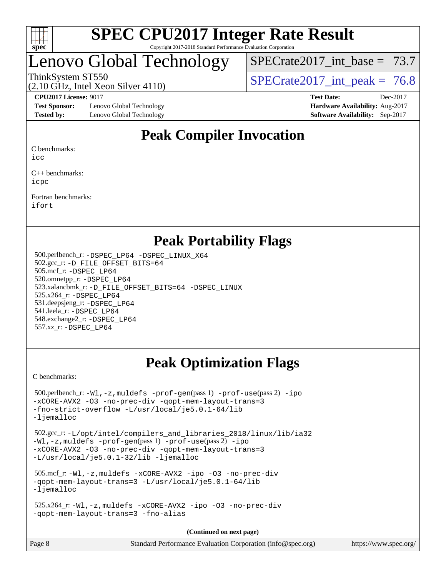

### Lenovo Global Technology

SPECrate2017 int\_base =  $73.7$ 

(2.10 GHz, Intel Xeon Silver 4110)

ThinkSystem ST550  $SPECrate2017$  int peak = 76.8

**[Test Sponsor:](http://www.spec.org/auto/cpu2017/Docs/result-fields.html#TestSponsor)** Lenovo Global Technology **[Hardware Availability:](http://www.spec.org/auto/cpu2017/Docs/result-fields.html#HardwareAvailability)** Aug-2017 **[Tested by:](http://www.spec.org/auto/cpu2017/Docs/result-fields.html#Testedby)** Lenovo Global Technology **[Software Availability:](http://www.spec.org/auto/cpu2017/Docs/result-fields.html#SoftwareAvailability)** Sep-2017

**[CPU2017 License:](http://www.spec.org/auto/cpu2017/Docs/result-fields.html#CPU2017License)** 9017 **[Test Date:](http://www.spec.org/auto/cpu2017/Docs/result-fields.html#TestDate)** Dec-2017

### **[Peak Compiler Invocation](http://www.spec.org/auto/cpu2017/Docs/result-fields.html#PeakCompilerInvocation)**

[C benchmarks:](http://www.spec.org/auto/cpu2017/Docs/result-fields.html#Cbenchmarks)

[icc](http://www.spec.org/cpu2017/results/res2018q1/cpu2017-20180108-02541.flags.html#user_CCpeak_intel_icc_18.0_66fc1ee009f7361af1fbd72ca7dcefbb700085f36577c54f309893dd4ec40d12360134090235512931783d35fd58c0460139e722d5067c5574d8eaf2b3e37e92)

[C++ benchmarks:](http://www.spec.org/auto/cpu2017/Docs/result-fields.html#CXXbenchmarks) [icpc](http://www.spec.org/cpu2017/results/res2018q1/cpu2017-20180108-02541.flags.html#user_CXXpeak_intel_icpc_18.0_c510b6838c7f56d33e37e94d029a35b4a7bccf4766a728ee175e80a419847e808290a9b78be685c44ab727ea267ec2f070ec5dc83b407c0218cded6866a35d07)

[Fortran benchmarks](http://www.spec.org/auto/cpu2017/Docs/result-fields.html#Fortranbenchmarks): [ifort](http://www.spec.org/cpu2017/results/res2018q1/cpu2017-20180108-02541.flags.html#user_FCpeak_intel_ifort_18.0_8111460550e3ca792625aed983ce982f94888b8b503583aa7ba2b8303487b4d8a21a13e7191a45c5fd58ff318f48f9492884d4413fa793fd88dd292cad7027ca)

### **[Peak Portability Flags](http://www.spec.org/auto/cpu2017/Docs/result-fields.html#PeakPortabilityFlags)**

 500.perlbench\_r: [-DSPEC\\_LP64](http://www.spec.org/cpu2017/results/res2018q1/cpu2017-20180108-02541.flags.html#b500.perlbench_r_peakPORTABILITY_DSPEC_LP64) [-DSPEC\\_LINUX\\_X64](http://www.spec.org/cpu2017/results/res2018q1/cpu2017-20180108-02541.flags.html#b500.perlbench_r_peakCPORTABILITY_DSPEC_LINUX_X64) 502.gcc\_r: [-D\\_FILE\\_OFFSET\\_BITS=64](http://www.spec.org/cpu2017/results/res2018q1/cpu2017-20180108-02541.flags.html#user_peakPORTABILITY502_gcc_r_file_offset_bits_64_5ae949a99b284ddf4e95728d47cb0843d81b2eb0e18bdfe74bbf0f61d0b064f4bda2f10ea5eb90e1dcab0e84dbc592acfc5018bc955c18609f94ddb8d550002c) 505.mcf\_r: [-DSPEC\\_LP64](http://www.spec.org/cpu2017/results/res2018q1/cpu2017-20180108-02541.flags.html#suite_peakPORTABILITY505_mcf_r_DSPEC_LP64) 520.omnetpp\_r: [-DSPEC\\_LP64](http://www.spec.org/cpu2017/results/res2018q1/cpu2017-20180108-02541.flags.html#suite_peakPORTABILITY520_omnetpp_r_DSPEC_LP64) 523.xalancbmk\_r: [-D\\_FILE\\_OFFSET\\_BITS=64](http://www.spec.org/cpu2017/results/res2018q1/cpu2017-20180108-02541.flags.html#user_peakPORTABILITY523_xalancbmk_r_file_offset_bits_64_5ae949a99b284ddf4e95728d47cb0843d81b2eb0e18bdfe74bbf0f61d0b064f4bda2f10ea5eb90e1dcab0e84dbc592acfc5018bc955c18609f94ddb8d550002c) [-DSPEC\\_LINUX](http://www.spec.org/cpu2017/results/res2018q1/cpu2017-20180108-02541.flags.html#b523.xalancbmk_r_peakCXXPORTABILITY_DSPEC_LINUX) 525.x264\_r: [-DSPEC\\_LP64](http://www.spec.org/cpu2017/results/res2018q1/cpu2017-20180108-02541.flags.html#suite_peakPORTABILITY525_x264_r_DSPEC_LP64) 531.deepsjeng\_r: [-DSPEC\\_LP64](http://www.spec.org/cpu2017/results/res2018q1/cpu2017-20180108-02541.flags.html#suite_peakPORTABILITY531_deepsjeng_r_DSPEC_LP64) 541.leela\_r: [-DSPEC\\_LP64](http://www.spec.org/cpu2017/results/res2018q1/cpu2017-20180108-02541.flags.html#suite_peakPORTABILITY541_leela_r_DSPEC_LP64) 548.exchange2\_r: [-DSPEC\\_LP64](http://www.spec.org/cpu2017/results/res2018q1/cpu2017-20180108-02541.flags.html#suite_peakPORTABILITY548_exchange2_r_DSPEC_LP64) 557.xz\_r: [-DSPEC\\_LP64](http://www.spec.org/cpu2017/results/res2018q1/cpu2017-20180108-02541.flags.html#suite_peakPORTABILITY557_xz_r_DSPEC_LP64)

### **[Peak Optimization Flags](http://www.spec.org/auto/cpu2017/Docs/result-fields.html#PeakOptimizationFlags)**

[C benchmarks](http://www.spec.org/auto/cpu2017/Docs/result-fields.html#Cbenchmarks):

 500.perlbench\_r: [-Wl,-z,muldefs](http://www.spec.org/cpu2017/results/res2018q1/cpu2017-20180108-02541.flags.html#user_peakEXTRA_LDFLAGS500_perlbench_r_link_force_multiple1_b4cbdb97b34bdee9ceefcfe54f4c8ea74255f0b02a4b23e853cdb0e18eb4525ac79b5a88067c842dd0ee6996c24547a27a4b99331201badda8798ef8a743f577) [-prof-gen](http://www.spec.org/cpu2017/results/res2018q1/cpu2017-20180108-02541.flags.html#user_peakPASS1_CFLAGSPASS1_LDFLAGS500_perlbench_r_prof_gen_5aa4926d6013ddb2a31985c654b3eb18169fc0c6952a63635c234f711e6e63dd76e94ad52365559451ec499a2cdb89e4dc58ba4c67ef54ca681ffbe1461d6b36)(pass 1) [-prof-use](http://www.spec.org/cpu2017/results/res2018q1/cpu2017-20180108-02541.flags.html#user_peakPASS2_CFLAGSPASS2_LDFLAGS500_perlbench_r_prof_use_1a21ceae95f36a2b53c25747139a6c16ca95bd9def2a207b4f0849963b97e94f5260e30a0c64f4bb623698870e679ca08317ef8150905d41bd88c6f78df73f19)(pass 2) [-ipo](http://www.spec.org/cpu2017/results/res2018q1/cpu2017-20180108-02541.flags.html#user_peakPASS1_COPTIMIZEPASS2_COPTIMIZE500_perlbench_r_f-ipo) [-xCORE-AVX2](http://www.spec.org/cpu2017/results/res2018q1/cpu2017-20180108-02541.flags.html#user_peakPASS2_COPTIMIZE500_perlbench_r_f-xCORE-AVX2) [-O3](http://www.spec.org/cpu2017/results/res2018q1/cpu2017-20180108-02541.flags.html#user_peakPASS1_COPTIMIZEPASS2_COPTIMIZE500_perlbench_r_f-O3) [-no-prec-div](http://www.spec.org/cpu2017/results/res2018q1/cpu2017-20180108-02541.flags.html#user_peakPASS1_COPTIMIZEPASS2_COPTIMIZE500_perlbench_r_f-no-prec-div) [-qopt-mem-layout-trans=3](http://www.spec.org/cpu2017/results/res2018q1/cpu2017-20180108-02541.flags.html#user_peakPASS1_COPTIMIZEPASS2_COPTIMIZE500_perlbench_r_f-qopt-mem-layout-trans_de80db37974c74b1f0e20d883f0b675c88c3b01e9d123adea9b28688d64333345fb62bc4a798493513fdb68f60282f9a726aa07f478b2f7113531aecce732043) [-fno-strict-overflow](http://www.spec.org/cpu2017/results/res2018q1/cpu2017-20180108-02541.flags.html#user_peakEXTRA_OPTIMIZE500_perlbench_r_f-fno-strict-overflow) [-L/usr/local/je5.0.1-64/lib](http://www.spec.org/cpu2017/results/res2018q1/cpu2017-20180108-02541.flags.html#user_peakEXTRA_LIBS500_perlbench_r_jemalloc_link_path64_4b10a636b7bce113509b17f3bd0d6226c5fb2346b9178c2d0232c14f04ab830f976640479e5c33dc2bcbbdad86ecfb6634cbbd4418746f06f368b512fced5394) [-ljemalloc](http://www.spec.org/cpu2017/results/res2018q1/cpu2017-20180108-02541.flags.html#user_peakEXTRA_LIBS500_perlbench_r_jemalloc_link_lib_d1249b907c500fa1c0672f44f562e3d0f79738ae9e3c4a9c376d49f265a04b9c99b167ecedbf6711b3085be911c67ff61f150a17b3472be731631ba4d0471706) 502.gcc\_r: [-L/opt/intel/compilers\\_and\\_libraries\\_2018/linux/lib/ia32](http://www.spec.org/cpu2017/results/res2018q1/cpu2017-20180108-02541.flags.html#user_peakCCLD502_gcc_r_Enable-32bit-runtime_af243bdb1d79e4c7a4f720bf8275e627de2ecd461de63307bc14cef0633fde3cd7bb2facb32dcc8be9566045fb55d40ce2b72b725f73827aa7833441b71b9343) [-Wl,-z,muldefs](http://www.spec.org/cpu2017/results/res2018q1/cpu2017-20180108-02541.flags.html#user_peakEXTRA_LDFLAGS502_gcc_r_link_force_multiple1_b4cbdb97b34bdee9ceefcfe54f4c8ea74255f0b02a4b23e853cdb0e18eb4525ac79b5a88067c842dd0ee6996c24547a27a4b99331201badda8798ef8a743f577) [-prof-gen](http://www.spec.org/cpu2017/results/res2018q1/cpu2017-20180108-02541.flags.html#user_peakPASS1_CFLAGSPASS1_LDFLAGS502_gcc_r_prof_gen_5aa4926d6013ddb2a31985c654b3eb18169fc0c6952a63635c234f711e6e63dd76e94ad52365559451ec499a2cdb89e4dc58ba4c67ef54ca681ffbe1461d6b36)(pass 1) [-prof-use](http://www.spec.org/cpu2017/results/res2018q1/cpu2017-20180108-02541.flags.html#user_peakPASS2_CFLAGSPASS2_LDFLAGS502_gcc_r_prof_use_1a21ceae95f36a2b53c25747139a6c16ca95bd9def2a207b4f0849963b97e94f5260e30a0c64f4bb623698870e679ca08317ef8150905d41bd88c6f78df73f19)(pass 2) [-ipo](http://www.spec.org/cpu2017/results/res2018q1/cpu2017-20180108-02541.flags.html#user_peakPASS1_COPTIMIZEPASS2_COPTIMIZE502_gcc_r_f-ipo) [-xCORE-AVX2](http://www.spec.org/cpu2017/results/res2018q1/cpu2017-20180108-02541.flags.html#user_peakPASS2_COPTIMIZE502_gcc_r_f-xCORE-AVX2) [-O3](http://www.spec.org/cpu2017/results/res2018q1/cpu2017-20180108-02541.flags.html#user_peakPASS1_COPTIMIZEPASS2_COPTIMIZE502_gcc_r_f-O3) [-no-prec-div](http://www.spec.org/cpu2017/results/res2018q1/cpu2017-20180108-02541.flags.html#user_peakPASS1_COPTIMIZEPASS2_COPTIMIZE502_gcc_r_f-no-prec-div) [-qopt-mem-layout-trans=3](http://www.spec.org/cpu2017/results/res2018q1/cpu2017-20180108-02541.flags.html#user_peakPASS1_COPTIMIZEPASS2_COPTIMIZE502_gcc_r_f-qopt-mem-layout-trans_de80db37974c74b1f0e20d883f0b675c88c3b01e9d123adea9b28688d64333345fb62bc4a798493513fdb68f60282f9a726aa07f478b2f7113531aecce732043) [-L/usr/local/je5.0.1-32/lib](http://www.spec.org/cpu2017/results/res2018q1/cpu2017-20180108-02541.flags.html#user_peakEXTRA_LIBS502_gcc_r_jemalloc_link_path32_e29f22e8e6c17053bbc6a0971f5a9c01a601a06bb1a59df2084b77a2fe0a2995b64fd4256feaeea39eeba3aae142e96e2b2b0a28974019c0c0c88139a84f900a) [-ljemalloc](http://www.spec.org/cpu2017/results/res2018q1/cpu2017-20180108-02541.flags.html#user_peakEXTRA_LIBS502_gcc_r_jemalloc_link_lib_d1249b907c500fa1c0672f44f562e3d0f79738ae9e3c4a9c376d49f265a04b9c99b167ecedbf6711b3085be911c67ff61f150a17b3472be731631ba4d0471706) 505.mcf\_r: [-Wl,-z,muldefs](http://www.spec.org/cpu2017/results/res2018q1/cpu2017-20180108-02541.flags.html#user_peakEXTRA_LDFLAGS505_mcf_r_link_force_multiple1_b4cbdb97b34bdee9ceefcfe54f4c8ea74255f0b02a4b23e853cdb0e18eb4525ac79b5a88067c842dd0ee6996c24547a27a4b99331201badda8798ef8a743f577) [-xCORE-AVX2](http://www.spec.org/cpu2017/results/res2018q1/cpu2017-20180108-02541.flags.html#user_peakCOPTIMIZE505_mcf_r_f-xCORE-AVX2) [-ipo](http://www.spec.org/cpu2017/results/res2018q1/cpu2017-20180108-02541.flags.html#user_peakCOPTIMIZE505_mcf_r_f-ipo) [-O3](http://www.spec.org/cpu2017/results/res2018q1/cpu2017-20180108-02541.flags.html#user_peakCOPTIMIZE505_mcf_r_f-O3) [-no-prec-div](http://www.spec.org/cpu2017/results/res2018q1/cpu2017-20180108-02541.flags.html#user_peakCOPTIMIZE505_mcf_r_f-no-prec-div) [-qopt-mem-layout-trans=3](http://www.spec.org/cpu2017/results/res2018q1/cpu2017-20180108-02541.flags.html#user_peakCOPTIMIZE505_mcf_r_f-qopt-mem-layout-trans_de80db37974c74b1f0e20d883f0b675c88c3b01e9d123adea9b28688d64333345fb62bc4a798493513fdb68f60282f9a726aa07f478b2f7113531aecce732043) [-L/usr/local/je5.0.1-64/lib](http://www.spec.org/cpu2017/results/res2018q1/cpu2017-20180108-02541.flags.html#user_peakEXTRA_LIBS505_mcf_r_jemalloc_link_path64_4b10a636b7bce113509b17f3bd0d6226c5fb2346b9178c2d0232c14f04ab830f976640479e5c33dc2bcbbdad86ecfb6634cbbd4418746f06f368b512fced5394) [-ljemalloc](http://www.spec.org/cpu2017/results/res2018q1/cpu2017-20180108-02541.flags.html#user_peakEXTRA_LIBS505_mcf_r_jemalloc_link_lib_d1249b907c500fa1c0672f44f562e3d0f79738ae9e3c4a9c376d49f265a04b9c99b167ecedbf6711b3085be911c67ff61f150a17b3472be731631ba4d0471706) 525.x264\_r: [-Wl,-z,muldefs](http://www.spec.org/cpu2017/results/res2018q1/cpu2017-20180108-02541.flags.html#user_peakEXTRA_LDFLAGS525_x264_r_link_force_multiple1_b4cbdb97b34bdee9ceefcfe54f4c8ea74255f0b02a4b23e853cdb0e18eb4525ac79b5a88067c842dd0ee6996c24547a27a4b99331201badda8798ef8a743f577) [-xCORE-AVX2](http://www.spec.org/cpu2017/results/res2018q1/cpu2017-20180108-02541.flags.html#user_peakCOPTIMIZE525_x264_r_f-xCORE-AVX2) [-ipo](http://www.spec.org/cpu2017/results/res2018q1/cpu2017-20180108-02541.flags.html#user_peakCOPTIMIZE525_x264_r_f-ipo) [-O3](http://www.spec.org/cpu2017/results/res2018q1/cpu2017-20180108-02541.flags.html#user_peakCOPTIMIZE525_x264_r_f-O3) [-no-prec-div](http://www.spec.org/cpu2017/results/res2018q1/cpu2017-20180108-02541.flags.html#user_peakCOPTIMIZE525_x264_r_f-no-prec-div) [-qopt-mem-layout-trans=3](http://www.spec.org/cpu2017/results/res2018q1/cpu2017-20180108-02541.flags.html#user_peakCOPTIMIZE525_x264_r_f-qopt-mem-layout-trans_de80db37974c74b1f0e20d883f0b675c88c3b01e9d123adea9b28688d64333345fb62bc4a798493513fdb68f60282f9a726aa07f478b2f7113531aecce732043) [-fno-alias](http://www.spec.org/cpu2017/results/res2018q1/cpu2017-20180108-02541.flags.html#user_peakEXTRA_OPTIMIZE525_x264_r_f-no-alias_77dbac10d91cbfe898fbf4a29d1b29b694089caa623bdd1baccc9957d4edbe8d106c0b357e2748a65b44fc9e83d78098bb898077f3fe92f9faf24f7bd4a07ed7) **(Continued on next page)**

| Page 8 | Standard Performance Evaluation Corporation (info@spec.org) | https://www.spec.org/ |
|--------|-------------------------------------------------------------|-----------------------|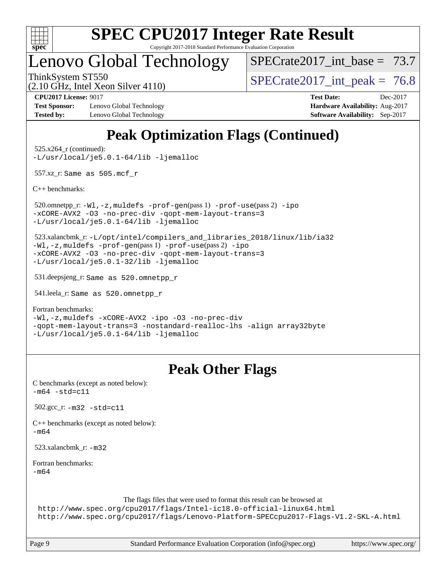

Copyright 2017-2018 Standard Performance Evaluation Corporation

### Lenovo Global Technology

SPECrate2017 int\_base =  $73.7$ 

(2.10 GHz, Intel Xeon Silver 4110)

ThinkSystem ST550  $SPECrate2017$  int peak = 76.8

**[Test Sponsor:](http://www.spec.org/auto/cpu2017/Docs/result-fields.html#TestSponsor)** Lenovo Global Technology **[Hardware Availability:](http://www.spec.org/auto/cpu2017/Docs/result-fields.html#HardwareAvailability)** Aug-2017 **[Tested by:](http://www.spec.org/auto/cpu2017/Docs/result-fields.html#Testedby)** Lenovo Global Technology **[Software Availability:](http://www.spec.org/auto/cpu2017/Docs/result-fields.html#SoftwareAvailability)** Sep-2017

**[CPU2017 License:](http://www.spec.org/auto/cpu2017/Docs/result-fields.html#CPU2017License)** 9017 **[Test Date:](http://www.spec.org/auto/cpu2017/Docs/result-fields.html#TestDate)** Dec-2017

### **[Peak Optimization Flags \(Continued\)](http://www.spec.org/auto/cpu2017/Docs/result-fields.html#PeakOptimizationFlags)**

 525.x264\_r (continued): [-L/usr/local/je5.0.1-64/lib](http://www.spec.org/cpu2017/results/res2018q1/cpu2017-20180108-02541.flags.html#user_peakEXTRA_LIBS525_x264_r_jemalloc_link_path64_4b10a636b7bce113509b17f3bd0d6226c5fb2346b9178c2d0232c14f04ab830f976640479e5c33dc2bcbbdad86ecfb6634cbbd4418746f06f368b512fced5394) [-ljemalloc](http://www.spec.org/cpu2017/results/res2018q1/cpu2017-20180108-02541.flags.html#user_peakEXTRA_LIBS525_x264_r_jemalloc_link_lib_d1249b907c500fa1c0672f44f562e3d0f79738ae9e3c4a9c376d49f265a04b9c99b167ecedbf6711b3085be911c67ff61f150a17b3472be731631ba4d0471706)

557.xz\_r: Same as 505.mcf\_r

[C++ benchmarks:](http://www.spec.org/auto/cpu2017/Docs/result-fields.html#CXXbenchmarks)

 520.omnetpp\_r: [-Wl,-z,muldefs](http://www.spec.org/cpu2017/results/res2018q1/cpu2017-20180108-02541.flags.html#user_peakEXTRA_LDFLAGS520_omnetpp_r_link_force_multiple1_b4cbdb97b34bdee9ceefcfe54f4c8ea74255f0b02a4b23e853cdb0e18eb4525ac79b5a88067c842dd0ee6996c24547a27a4b99331201badda8798ef8a743f577) [-prof-gen](http://www.spec.org/cpu2017/results/res2018q1/cpu2017-20180108-02541.flags.html#user_peakPASS1_CXXFLAGSPASS1_LDFLAGS520_omnetpp_r_prof_gen_5aa4926d6013ddb2a31985c654b3eb18169fc0c6952a63635c234f711e6e63dd76e94ad52365559451ec499a2cdb89e4dc58ba4c67ef54ca681ffbe1461d6b36)(pass 1) [-prof-use](http://www.spec.org/cpu2017/results/res2018q1/cpu2017-20180108-02541.flags.html#user_peakPASS2_CXXFLAGSPASS2_LDFLAGS520_omnetpp_r_prof_use_1a21ceae95f36a2b53c25747139a6c16ca95bd9def2a207b4f0849963b97e94f5260e30a0c64f4bb623698870e679ca08317ef8150905d41bd88c6f78df73f19)(pass 2) [-ipo](http://www.spec.org/cpu2017/results/res2018q1/cpu2017-20180108-02541.flags.html#user_peakPASS1_CXXOPTIMIZEPASS2_CXXOPTIMIZE520_omnetpp_r_f-ipo) [-xCORE-AVX2](http://www.spec.org/cpu2017/results/res2018q1/cpu2017-20180108-02541.flags.html#user_peakPASS2_CXXOPTIMIZE520_omnetpp_r_f-xCORE-AVX2) [-O3](http://www.spec.org/cpu2017/results/res2018q1/cpu2017-20180108-02541.flags.html#user_peakPASS1_CXXOPTIMIZEPASS2_CXXOPTIMIZE520_omnetpp_r_f-O3) [-no-prec-div](http://www.spec.org/cpu2017/results/res2018q1/cpu2017-20180108-02541.flags.html#user_peakPASS1_CXXOPTIMIZEPASS2_CXXOPTIMIZE520_omnetpp_r_f-no-prec-div) [-qopt-mem-layout-trans=3](http://www.spec.org/cpu2017/results/res2018q1/cpu2017-20180108-02541.flags.html#user_peakPASS1_CXXOPTIMIZEPASS2_CXXOPTIMIZE520_omnetpp_r_f-qopt-mem-layout-trans_de80db37974c74b1f0e20d883f0b675c88c3b01e9d123adea9b28688d64333345fb62bc4a798493513fdb68f60282f9a726aa07f478b2f7113531aecce732043) [-L/usr/local/je5.0.1-64/lib](http://www.spec.org/cpu2017/results/res2018q1/cpu2017-20180108-02541.flags.html#user_peakEXTRA_LIBS520_omnetpp_r_jemalloc_link_path64_4b10a636b7bce113509b17f3bd0d6226c5fb2346b9178c2d0232c14f04ab830f976640479e5c33dc2bcbbdad86ecfb6634cbbd4418746f06f368b512fced5394) [-ljemalloc](http://www.spec.org/cpu2017/results/res2018q1/cpu2017-20180108-02541.flags.html#user_peakEXTRA_LIBS520_omnetpp_r_jemalloc_link_lib_d1249b907c500fa1c0672f44f562e3d0f79738ae9e3c4a9c376d49f265a04b9c99b167ecedbf6711b3085be911c67ff61f150a17b3472be731631ba4d0471706)

 523.xalancbmk\_r: [-L/opt/intel/compilers\\_and\\_libraries\\_2018/linux/lib/ia32](http://www.spec.org/cpu2017/results/res2018q1/cpu2017-20180108-02541.flags.html#user_peakCXXLD523_xalancbmk_r_Enable-32bit-runtime_af243bdb1d79e4c7a4f720bf8275e627de2ecd461de63307bc14cef0633fde3cd7bb2facb32dcc8be9566045fb55d40ce2b72b725f73827aa7833441b71b9343) [-Wl,-z,muldefs](http://www.spec.org/cpu2017/results/res2018q1/cpu2017-20180108-02541.flags.html#user_peakEXTRA_LDFLAGS523_xalancbmk_r_link_force_multiple1_b4cbdb97b34bdee9ceefcfe54f4c8ea74255f0b02a4b23e853cdb0e18eb4525ac79b5a88067c842dd0ee6996c24547a27a4b99331201badda8798ef8a743f577) [-prof-gen](http://www.spec.org/cpu2017/results/res2018q1/cpu2017-20180108-02541.flags.html#user_peakPASS1_CXXFLAGSPASS1_LDFLAGS523_xalancbmk_r_prof_gen_5aa4926d6013ddb2a31985c654b3eb18169fc0c6952a63635c234f711e6e63dd76e94ad52365559451ec499a2cdb89e4dc58ba4c67ef54ca681ffbe1461d6b36)(pass 1) [-prof-use](http://www.spec.org/cpu2017/results/res2018q1/cpu2017-20180108-02541.flags.html#user_peakPASS2_CXXFLAGSPASS2_LDFLAGS523_xalancbmk_r_prof_use_1a21ceae95f36a2b53c25747139a6c16ca95bd9def2a207b4f0849963b97e94f5260e30a0c64f4bb623698870e679ca08317ef8150905d41bd88c6f78df73f19)(pass 2) [-ipo](http://www.spec.org/cpu2017/results/res2018q1/cpu2017-20180108-02541.flags.html#user_peakPASS1_CXXOPTIMIZEPASS2_CXXOPTIMIZE523_xalancbmk_r_f-ipo) [-xCORE-AVX2](http://www.spec.org/cpu2017/results/res2018q1/cpu2017-20180108-02541.flags.html#user_peakPASS2_CXXOPTIMIZE523_xalancbmk_r_f-xCORE-AVX2) [-O3](http://www.spec.org/cpu2017/results/res2018q1/cpu2017-20180108-02541.flags.html#user_peakPASS1_CXXOPTIMIZEPASS2_CXXOPTIMIZE523_xalancbmk_r_f-O3) [-no-prec-div](http://www.spec.org/cpu2017/results/res2018q1/cpu2017-20180108-02541.flags.html#user_peakPASS1_CXXOPTIMIZEPASS2_CXXOPTIMIZE523_xalancbmk_r_f-no-prec-div) [-qopt-mem-layout-trans=3](http://www.spec.org/cpu2017/results/res2018q1/cpu2017-20180108-02541.flags.html#user_peakPASS1_CXXOPTIMIZEPASS2_CXXOPTIMIZE523_xalancbmk_r_f-qopt-mem-layout-trans_de80db37974c74b1f0e20d883f0b675c88c3b01e9d123adea9b28688d64333345fb62bc4a798493513fdb68f60282f9a726aa07f478b2f7113531aecce732043) [-L/usr/local/je5.0.1-32/lib](http://www.spec.org/cpu2017/results/res2018q1/cpu2017-20180108-02541.flags.html#user_peakEXTRA_LIBS523_xalancbmk_r_jemalloc_link_path32_e29f22e8e6c17053bbc6a0971f5a9c01a601a06bb1a59df2084b77a2fe0a2995b64fd4256feaeea39eeba3aae142e96e2b2b0a28974019c0c0c88139a84f900a) [-ljemalloc](http://www.spec.org/cpu2017/results/res2018q1/cpu2017-20180108-02541.flags.html#user_peakEXTRA_LIBS523_xalancbmk_r_jemalloc_link_lib_d1249b907c500fa1c0672f44f562e3d0f79738ae9e3c4a9c376d49f265a04b9c99b167ecedbf6711b3085be911c67ff61f150a17b3472be731631ba4d0471706)

531.deepsjeng\_r: Same as 520.omnetpp\_r

541.leela\_r: Same as 520.omnetpp\_r

[Fortran benchmarks](http://www.spec.org/auto/cpu2017/Docs/result-fields.html#Fortranbenchmarks):

[-Wl,-z,muldefs](http://www.spec.org/cpu2017/results/res2018q1/cpu2017-20180108-02541.flags.html#user_FCpeak_link_force_multiple1_b4cbdb97b34bdee9ceefcfe54f4c8ea74255f0b02a4b23e853cdb0e18eb4525ac79b5a88067c842dd0ee6996c24547a27a4b99331201badda8798ef8a743f577) [-xCORE-AVX2](http://www.spec.org/cpu2017/results/res2018q1/cpu2017-20180108-02541.flags.html#user_FCpeak_f-xCORE-AVX2) [-ipo](http://www.spec.org/cpu2017/results/res2018q1/cpu2017-20180108-02541.flags.html#user_FCpeak_f-ipo) [-O3](http://www.spec.org/cpu2017/results/res2018q1/cpu2017-20180108-02541.flags.html#user_FCpeak_f-O3) [-no-prec-div](http://www.spec.org/cpu2017/results/res2018q1/cpu2017-20180108-02541.flags.html#user_FCpeak_f-no-prec-div) [-qopt-mem-layout-trans=3](http://www.spec.org/cpu2017/results/res2018q1/cpu2017-20180108-02541.flags.html#user_FCpeak_f-qopt-mem-layout-trans_de80db37974c74b1f0e20d883f0b675c88c3b01e9d123adea9b28688d64333345fb62bc4a798493513fdb68f60282f9a726aa07f478b2f7113531aecce732043) [-nostandard-realloc-lhs](http://www.spec.org/cpu2017/results/res2018q1/cpu2017-20180108-02541.flags.html#user_FCpeak_f_2003_std_realloc_82b4557e90729c0f113870c07e44d33d6f5a304b4f63d4c15d2d0f1fab99f5daaed73bdb9275d9ae411527f28b936061aa8b9c8f2d63842963b95c9dd6426b8a) [-align array32byte](http://www.spec.org/cpu2017/results/res2018q1/cpu2017-20180108-02541.flags.html#user_FCpeak_align_array32byte_b982fe038af199962ba9a80c053b8342c548c85b40b8e86eb3cc33dee0d7986a4af373ac2d51c3f7cf710a18d62fdce2948f201cd044323541f22fc0fffc51b6) [-L/usr/local/je5.0.1-64/lib](http://www.spec.org/cpu2017/results/res2018q1/cpu2017-20180108-02541.flags.html#user_FCpeak_jemalloc_link_path64_4b10a636b7bce113509b17f3bd0d6226c5fb2346b9178c2d0232c14f04ab830f976640479e5c33dc2bcbbdad86ecfb6634cbbd4418746f06f368b512fced5394) [-ljemalloc](http://www.spec.org/cpu2017/results/res2018q1/cpu2017-20180108-02541.flags.html#user_FCpeak_jemalloc_link_lib_d1249b907c500fa1c0672f44f562e3d0f79738ae9e3c4a9c376d49f265a04b9c99b167ecedbf6711b3085be911c67ff61f150a17b3472be731631ba4d0471706)

### **[Peak Other Flags](http://www.spec.org/auto/cpu2017/Docs/result-fields.html#PeakOtherFlags)**

| C benchmarks (except as noted below):<br>$-m64 - std = c11$                                                                                                                                                                           |
|---------------------------------------------------------------------------------------------------------------------------------------------------------------------------------------------------------------------------------------|
| $502.\text{gcc}_r$ : $-m32 - std = c11$                                                                                                                                                                                               |
| $C++$ benchmarks (except as noted below):<br>$-m64$                                                                                                                                                                                   |
| 523.xalancbmk $r: -m32$                                                                                                                                                                                                               |
| Fortran benchmarks:<br>$-m64$                                                                                                                                                                                                         |
| The flags files that were used to format this result can be browsed at<br>http://www.spec.org/cpu2017/flags/Intel-ic18.0-official-linux64.html<br>http://www.spec.org/cpu2017/flags/Lenovo-Platform-SPECcpu2017-Flags-V1.2-SKL-A.html |